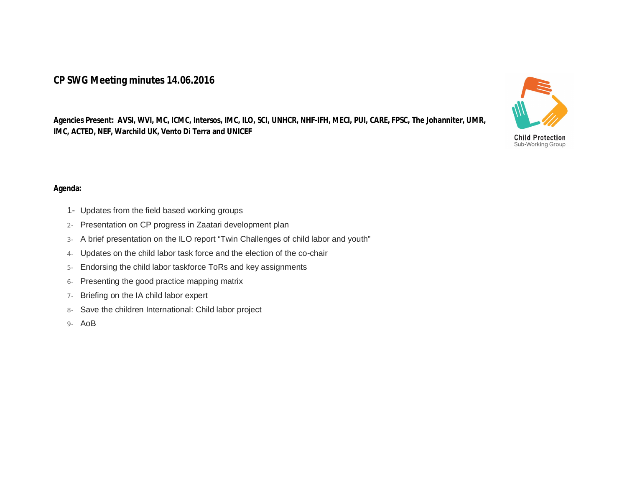## **CP SWG Meeting minutes 14.06.2016**

**Agencies Present: AVSI, WVI, MC, ICMC, Intersos, IMC, ILO, SCI, UNHCR, NHF-IFH, MECI, PUI, CARE, FPSC, The Johanniter, UMR, IMC, ACTED, NEF, Warchild UK, Vento Di Terra and UNICEF** 



- 1- Updates from the field based working groups
- 2- Presentation on CP progress in Zaatari development plan
- 3- A brief presentation on the ILO report "Twin Challenges of child labor and youth"
- 4- Updates on the child labor task force and the election of the co-chair
- 5- Endorsing the child labor taskforce ToRs and key assignments
- 6- Presenting the good practice mapping matrix
- 7- Briefing on the IA child labor expert
- 8- Save the children International: Child labor project
- 9- AoB



**Child Protection** Sub-Working Group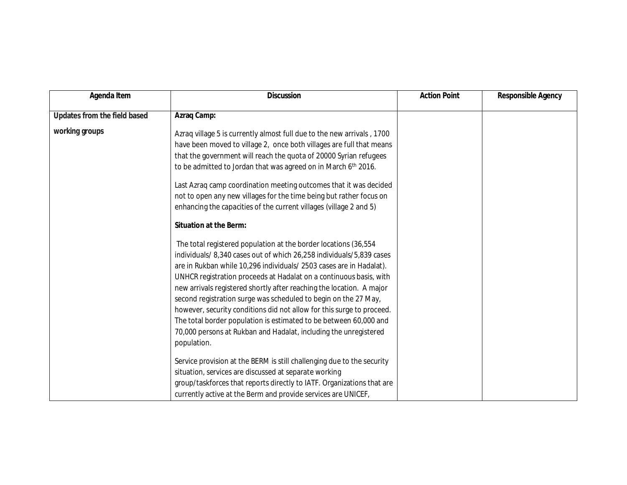| Agenda Item                  | <b>Discussion</b>                                                                                                                                                                                                                                                                                                                                                                                                                                                                                                                                                                                                                                                                                                                                                                                                                | <b>Action Point</b> | <b>Responsible Agency</b> |
|------------------------------|----------------------------------------------------------------------------------------------------------------------------------------------------------------------------------------------------------------------------------------------------------------------------------------------------------------------------------------------------------------------------------------------------------------------------------------------------------------------------------------------------------------------------------------------------------------------------------------------------------------------------------------------------------------------------------------------------------------------------------------------------------------------------------------------------------------------------------|---------------------|---------------------------|
| Updates from the field based | Azraq Camp:                                                                                                                                                                                                                                                                                                                                                                                                                                                                                                                                                                                                                                                                                                                                                                                                                      |                     |                           |
| working groups               | Azrag village 5 is currently almost full due to the new arrivals, 1700<br>have been moved to village 2, once both villages are full that means<br>that the government will reach the quota of 20000 Syrian refugees<br>to be admitted to Jordan that was agreed on in March 6th 2016.<br>Last Azraq camp coordination meeting outcomes that it was decided<br>not to open any new villages for the time being but rather focus on<br>enhancing the capacities of the current villages (village 2 and 5)<br><b>Situation at the Berm:</b><br>The total registered population at the border locations (36,554)<br>individuals/8,340 cases out of which 26,258 individuals/5,839 cases<br>are in Rukban while 10,296 individuals/ 2503 cases are in Hadalat).<br>UNHCR registration proceeds at Hadalat on a continuous basis, with |                     |                           |
|                              | new arrivals registered shortly after reaching the location. A major<br>second registration surge was scheduled to begin on the 27 May,<br>however, security conditions did not allow for this surge to proceed.<br>The total border population is estimated to be between 60,000 and<br>70,000 persons at Rukban and Hadalat, including the unregistered<br>population.<br>Service provision at the BERM is still challenging due to the security<br>situation, services are discussed at separate working<br>group/taskforces that reports directly to IATF. Organizations that are<br>currently active at the Berm and provide services are UNICEF,                                                                                                                                                                           |                     |                           |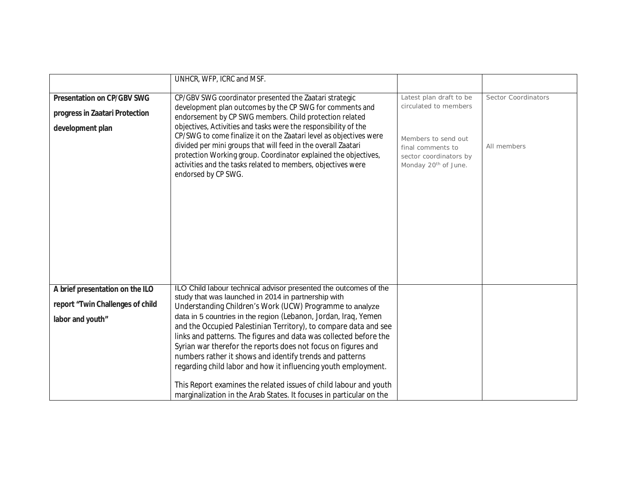|                                   | UNHCR, WFP, ICRC and MSF.                                           |                                  |                     |
|-----------------------------------|---------------------------------------------------------------------|----------------------------------|---------------------|
|                                   |                                                                     |                                  |                     |
| <b>Presentation on CP/GBV SWG</b> | CP/GBV SWG coordinator presented the Zaatari strategic              | Latest plan draft to be          | Sector Coordinators |
|                                   | development plan outcomes by the CP SWG for comments and            | circulated to members            |                     |
| progress in Zaatari Protection    |                                                                     |                                  |                     |
|                                   | endorsement by CP SWG members. Child protection related             |                                  |                     |
| development plan                  | objectives, Activities and tasks were the responsibility of the     |                                  |                     |
|                                   | CP/SWG to come finalize it on the Zaatari level as objectives were  | Members to send out              |                     |
|                                   | divided per mini groups that will feed in the overall Zaatari       | final comments to                | All members         |
|                                   | protection Working group. Coordinator explained the objectives,     | sector coordinators by           |                     |
|                                   | activities and the tasks related to members, objectives were        | Monday 20 <sup>th</sup> of June. |                     |
|                                   | endorsed by CP SWG.                                                 |                                  |                     |
|                                   |                                                                     |                                  |                     |
|                                   |                                                                     |                                  |                     |
|                                   |                                                                     |                                  |                     |
|                                   |                                                                     |                                  |                     |
|                                   |                                                                     |                                  |                     |
|                                   |                                                                     |                                  |                     |
|                                   |                                                                     |                                  |                     |
|                                   |                                                                     |                                  |                     |
|                                   |                                                                     |                                  |                     |
|                                   |                                                                     |                                  |                     |
|                                   |                                                                     |                                  |                     |
| A brief presentation on the ILO   | ILO Child labour technical advisor presented the outcomes of the    |                                  |                     |
|                                   | study that was launched in 2014 in partnership with                 |                                  |                     |
| report "Twin Challenges of child  | Understanding Children's Work (UCW) Programme to analyze            |                                  |                     |
| labor and youth"                  | data in 5 countries in the region (Lebanon, Jordan, Iraq, Yemen     |                                  |                     |
|                                   | and the Occupied Palestinian Territory), to compare data and see    |                                  |                     |
|                                   | links and patterns. The figures and data was collected before the   |                                  |                     |
|                                   | Syrian war therefor the reports does not focus on figures and       |                                  |                     |
|                                   | numbers rather it shows and identify trends and patterns            |                                  |                     |
|                                   |                                                                     |                                  |                     |
|                                   | regarding child labor and how it influencing youth employment.      |                                  |                     |
|                                   |                                                                     |                                  |                     |
|                                   | This Report examines the related issues of child labour and youth   |                                  |                     |
|                                   | marginalization in the Arab States. It focuses in particular on the |                                  |                     |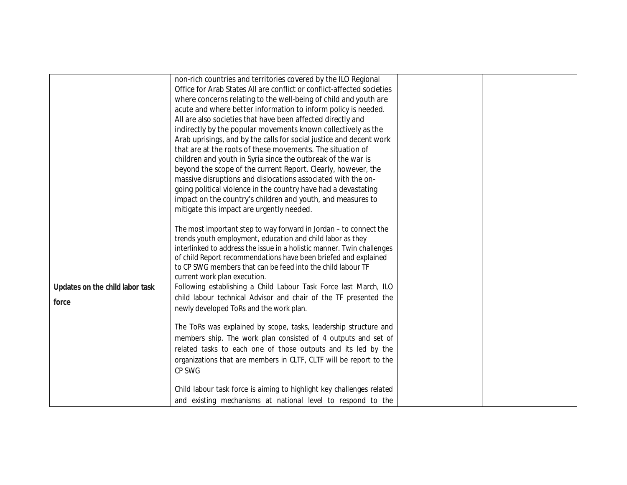|                                 | non-rich countries and territories covered by the ILO Regional         |  |
|---------------------------------|------------------------------------------------------------------------|--|
|                                 | Office for Arab States All are conflict or conflict-affected societies |  |
|                                 | where concerns relating to the well-being of child and youth are       |  |
|                                 | acute and where better information to inform policy is needed.         |  |
|                                 | All are also societies that have been affected directly and            |  |
|                                 | indirectly by the popular movements known collectively as the          |  |
|                                 | Arab uprisings, and by the calls for social justice and decent work    |  |
|                                 | that are at the roots of these movements. The situation of             |  |
|                                 | children and youth in Syria since the outbreak of the war is           |  |
|                                 | beyond the scope of the current Report. Clearly, however, the          |  |
|                                 | massive disruptions and dislocations associated with the on-           |  |
|                                 | going political violence in the country have had a devastating         |  |
|                                 | impact on the country's children and youth, and measures to            |  |
|                                 | mitigate this impact are urgently needed.                              |  |
|                                 |                                                                        |  |
|                                 | The most important step to way forward in Jordan - to connect the      |  |
|                                 | trends youth employment, education and child labor as they             |  |
|                                 | interlinked to address the issue in a holistic manner. Twin challenges |  |
|                                 | of child Report recommendations have been briefed and explained        |  |
|                                 | to CP SWG members that can be feed into the child labour TF            |  |
|                                 | current work plan execution.                                           |  |
| Updates on the child labor task | Following establishing a Child Labour Task Force last March, ILO       |  |
| force                           | child labour technical Advisor and chair of the TF presented the       |  |
|                                 | newly developed ToRs and the work plan.                                |  |
|                                 | The ToRs was explained by scope, tasks, leadership structure and       |  |
|                                 | members ship. The work plan consisted of 4 outputs and set of          |  |
|                                 | related tasks to each one of those outputs and its led by the          |  |
|                                 | organizations that are members in CLTF, CLTF will be report to the     |  |
|                                 | CP SWG                                                                 |  |
|                                 |                                                                        |  |
|                                 | Child labour task force is aiming to highlight key challenges related  |  |
|                                 | and existing mechanisms at national level to respond to the            |  |
|                                 |                                                                        |  |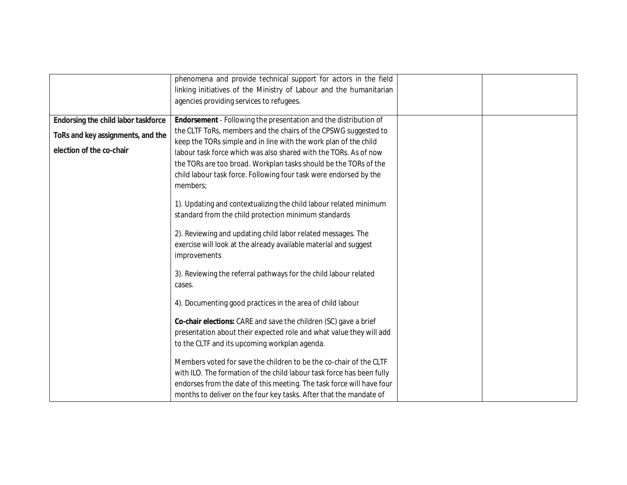|                                     | phenomena and provide technical support for actors in the field<br>linking initiatives of the Ministry of Labour and the humanitarian            |  |
|-------------------------------------|--------------------------------------------------------------------------------------------------------------------------------------------------|--|
|                                     | agencies providing services to refugees.                                                                                                         |  |
| Endorsing the child labor taskforce | Endorsement - Following the presentation and the distribution of                                                                                 |  |
| ToRs and key assignments, and the   | the CLTF ToRs, members and the chairs of the CPSWG suggested to<br>keep the TORs simple and in line with the work plan of the child              |  |
| election of the co-chair            | labour task force which was also shared with the TORs. As of now                                                                                 |  |
|                                     | the TORs are too broad. Workplan tasks should be the TORs of the                                                                                 |  |
|                                     | child labour task force. Following four task were endorsed by the<br>members;                                                                    |  |
|                                     | 1). Updating and contextualizing the child labour related minimum<br>standard from the child protection minimum standards                        |  |
|                                     | 2). Reviewing and updating child labor related messages. The<br>exercise will look at the already available material and suggest<br>improvements |  |
|                                     | 3). Reviewing the referral pathways for the child labour related<br>cases.                                                                       |  |
|                                     | 4). Documenting good practices in the area of child labour                                                                                       |  |
|                                     | Co-chair elections: CARE and save the children (SC) gave a brief                                                                                 |  |
|                                     | presentation about their expected role and what value they will add                                                                              |  |
|                                     | to the CLTF and its upcoming workplan agenda.                                                                                                    |  |
|                                     | Members voted for save the children to be the co-chair of the CLTF                                                                               |  |
|                                     | with ILO. The formation of the child labour task force has been fully                                                                            |  |
|                                     | endorses from the date of this meeting. The task force will have four                                                                            |  |
|                                     | months to deliver on the four key tasks. After that the mandate of                                                                               |  |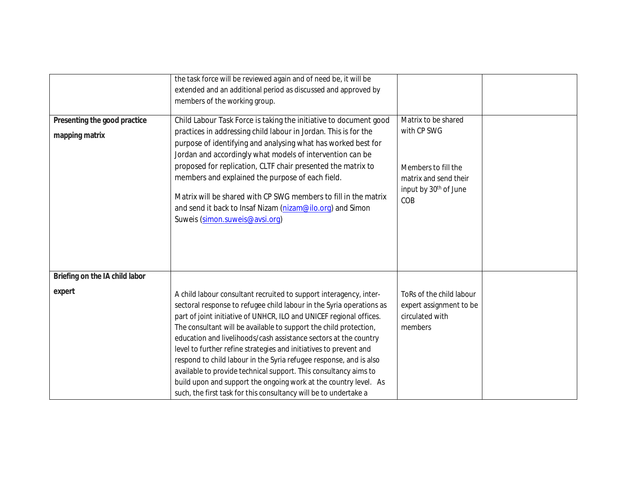| Presenting the good practice<br>mapping matrix | the task force will be reviewed again and of need be, it will be<br>extended and an additional period as discussed and approved by<br>members of the working group.<br>Child Labour Task Force is taking the initiative to document good<br>practices in addressing child labour in Jordan. This is for the<br>purpose of identifying and analysing what has worked best for<br>Jordan and accordingly what models of intervention can be<br>proposed for replication, CLTF chair presented the matrix to<br>members and explained the purpose of each field.<br>Matrix will be shared with CP SWG members to fill in the matrix<br>and send it back to Insaf Nizam (nizam@ilo.org) and Simon<br>Suweis (simon.suweis@avsi.org) | Matrix to be shared<br>with CP SWG<br>Members to fill the<br>matrix and send their<br>input by 30 <sup>th</sup> of June<br>COB |  |
|------------------------------------------------|---------------------------------------------------------------------------------------------------------------------------------------------------------------------------------------------------------------------------------------------------------------------------------------------------------------------------------------------------------------------------------------------------------------------------------------------------------------------------------------------------------------------------------------------------------------------------------------------------------------------------------------------------------------------------------------------------------------------------------|--------------------------------------------------------------------------------------------------------------------------------|--|
| Briefing on the IA child labor<br>expert       | A child labour consultant recruited to support interagency, inter-<br>sectoral response to refugee child labour in the Syria operations as<br>part of joint initiative of UNHCR, ILO and UNICEF regional offices.<br>The consultant will be available to support the child protection,<br>education and livelihoods/cash assistance sectors at the country<br>level to further refine strategies and initiatives to prevent and<br>respond to child labour in the Syria refugee response, and is also<br>available to provide technical support. This consultancy aims to<br>build upon and support the ongoing work at the country level. As<br>such, the first task for this consultancy will be to undertake a               | ToRs of the child labour<br>expert assignment to be<br>circulated with<br>members                                              |  |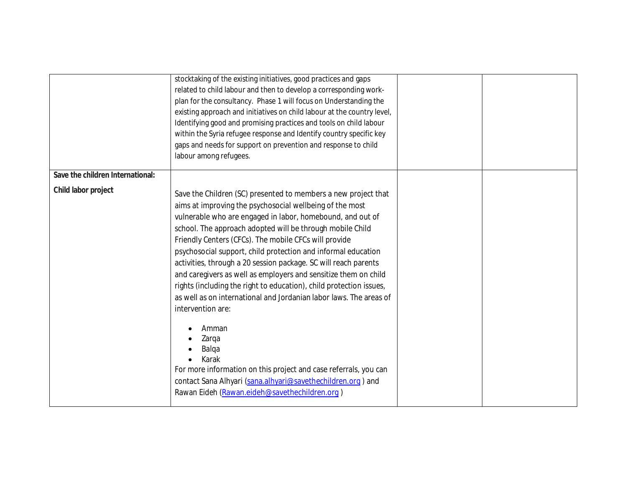|                                  | stocktaking of the existing initiatives, good practices and gaps<br>related to child labour and then to develop a corresponding work-<br>plan for the consultancy. Phase 1 will focus on Understanding the<br>existing approach and initiatives on child labour at the country level,<br>Identifying good and promising practices and tools on child labour<br>within the Syria refugee response and Identify country specific key<br>gaps and needs for support on prevention and response to child<br>labour among refugees.                                                                                                                                                                                                                                                                                                                                                                                  |  |
|----------------------------------|-----------------------------------------------------------------------------------------------------------------------------------------------------------------------------------------------------------------------------------------------------------------------------------------------------------------------------------------------------------------------------------------------------------------------------------------------------------------------------------------------------------------------------------------------------------------------------------------------------------------------------------------------------------------------------------------------------------------------------------------------------------------------------------------------------------------------------------------------------------------------------------------------------------------|--|
| Save the children International: |                                                                                                                                                                                                                                                                                                                                                                                                                                                                                                                                                                                                                                                                                                                                                                                                                                                                                                                 |  |
| Child labor project              | Save the Children (SC) presented to members a new project that<br>aims at improving the psychosocial wellbeing of the most<br>vulnerable who are engaged in labor, homebound, and out of<br>school. The approach adopted will be through mobile Child<br>Friendly Centers (CFCs). The mobile CFCs will provide<br>psychosocial support, child protection and informal education<br>activities, through a 20 session package. SC will reach parents<br>and caregivers as well as employers and sensitize them on child<br>rights (including the right to education), child protection issues,<br>as well as on international and Jordanian labor laws. The areas of<br>intervention are:<br>Amman<br>Zarqa<br>Balqa<br>Karak<br>For more information on this project and case referrals, you can<br>contact Sana Alhyari (sana.alhyari@savethechildren.org) and<br>Rawan Eideh (Rawan.eideh@savethechildren.org) |  |